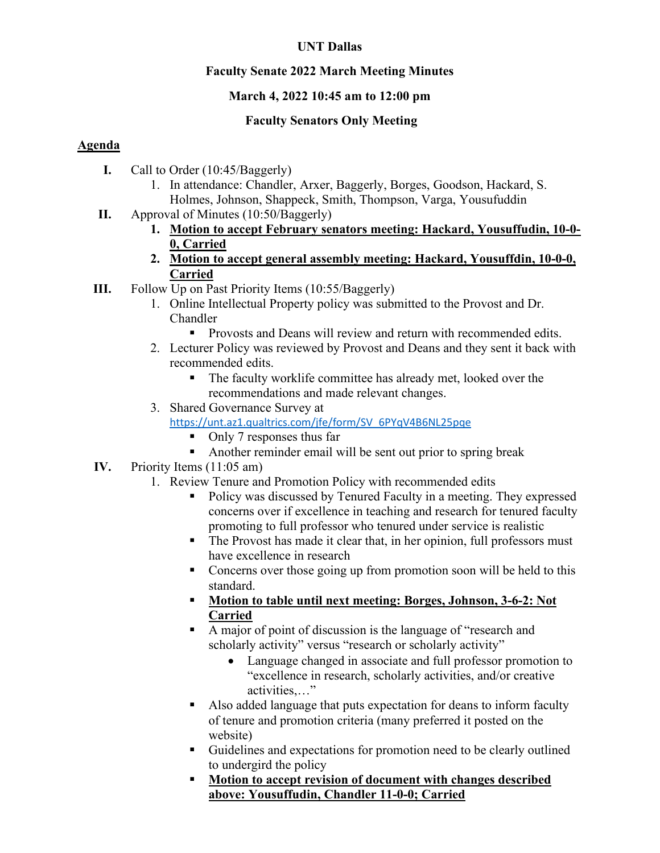## **UNT Dallas**

## **Faculty Senate 2022 March Meeting Minutes**

# **March 4, 2022 10:45 am to 12:00 pm**

# **Faculty Senators Only Meeting**

# **Agenda**

- **I.** Call to Order (10:45/Baggerly)
	- 1. In attendance: Chandler, Arxer, Baggerly, Borges, Goodson, Hackard, S. Holmes, Johnson, Shappeck, Smith, Thompson, Varga, Yousufuddin
- **II.** Approval of Minutes (10:50/Baggerly)
	- **1. Motion to accept February senators meeting: Hackard, Yousuffudin, 10-0- 0, Carried**
	- **2. Motion to accept general assembly meeting: Hackard, Yousuffdin, 10-0-0, Carried**
- **III.** Follow Up on Past Priority Items (10:55/Baggerly)
	- 1. Online Intellectual Property policy was submitted to the Provost and Dr. Chandler
		- **Provosts and Deans will review and return with recommended edits.**
	- 2. Lecturer Policy was reviewed by Provost and Deans and they sent it back with recommended edits.
		- The faculty worklife committee has already met, looked over the recommendations and made relevant changes.
	- 3. Shared Governance Survey at
		- [https://unt.az1.qualtrics.com/jfe/form/SV\\_6PYqV4B6NL25pqe](https://unt.az1.qualtrics.com/jfe/form/SV_6PYqV4B6NL25pqe)
			- Only 7 responses thus far
			- Another reminder email will be sent out prior to spring break
- **IV.** Priority Items (11:05 am)
	- 1. Review Tenure and Promotion Policy with recommended edits
		- Policy was discussed by Tenured Faculty in a meeting. They expressed concerns over if excellence in teaching and research for tenured faculty promoting to full professor who tenured under service is realistic
		- The Provost has made it clear that, in her opinion, full professors must have excellence in research
		- Concerns over those going up from promotion soon will be held to this standard.
		- **Motion to table until next meeting: Borges, Johnson, 3-6-2: Not Carried**
		- A major of point of discussion is the language of "research and scholarly activity" versus "research or scholarly activity"
			- Language changed in associate and full professor promotion to "excellence in research, scholarly activities, and/or creative activities,…"
		- Also added language that puts expectation for deans to inform faculty of tenure and promotion criteria (many preferred it posted on the website)
		- Guidelines and expectations for promotion need to be clearly outlined to undergird the policy
		- **Motion to accept revision of document with changes described above: Yousuffudin, Chandler 11-0-0; Carried**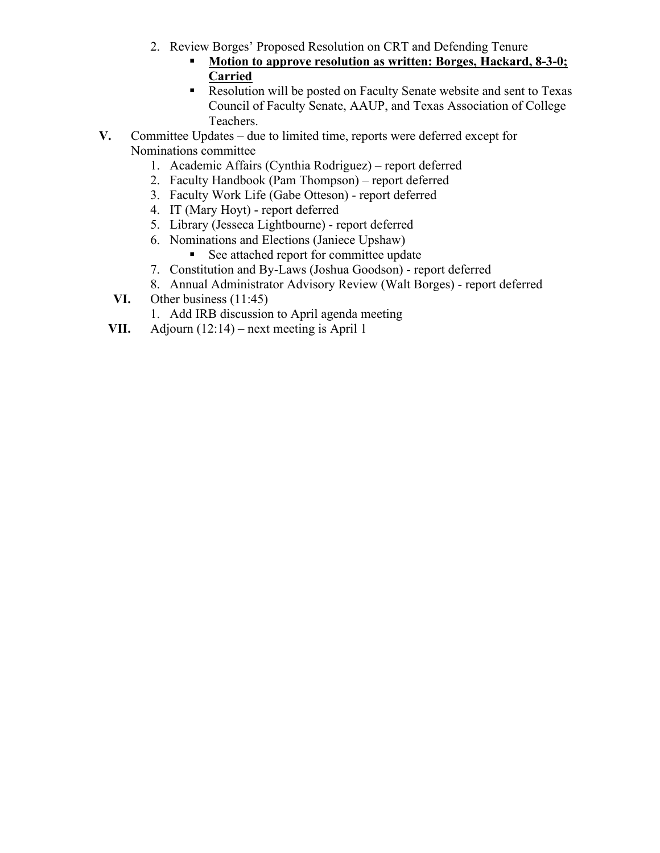- 2. Review Borges' Proposed Resolution on CRT and Defending Tenure
	- **Motion to approve resolution as written: Borges, Hackard, 8-3-0; Carried**
	- Resolution will be posted on Faculty Senate website and sent to Texas Council of Faculty Senate, AAUP, and Texas Association of College Teachers.
- **V.** Committee Updates due to limited time, reports were deferred except for Nominations committee
	- 1. Academic Affairs (Cynthia Rodriguez) report deferred
	- 2. Faculty Handbook (Pam Thompson) report deferred
	- 3. Faculty Work Life (Gabe Otteson) report deferred
	- 4. IT (Mary Hoyt) report deferred
	- 5. Library (Jesseca Lightbourne) report deferred
	- 6. Nominations and Elections (Janiece Upshaw)
		- See attached report for committee update
	- 7. Constitution and By-Laws (Joshua Goodson) report deferred
	- 8. Annual Administrator Advisory Review (Walt Borges) report deferred
	- **VI.** Other business (11:45)
		- 1. Add IRB discussion to April agenda meeting
	- **VII.** Adjourn (12:14) next meeting is April 1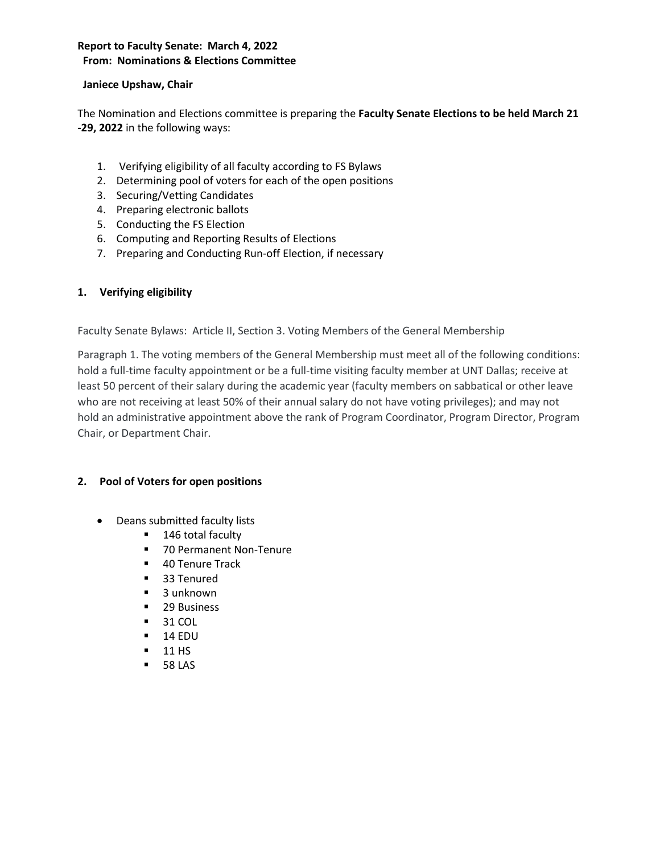## **Report to Faculty Senate: March 4, 2022 From: Nominations & Elections Committee**

### **Janiece Upshaw, Chair**

The Nomination and Elections committee is preparing the **Faculty Senate Elections to be held March 21 -29, 2022** in the following ways:

- 1. Verifying eligibility of all faculty according to FS Bylaws
- 2. Determining pool of voters for each of the open positions
- 3. Securing/Vetting Candidates
- 4. Preparing electronic ballots
- 5. Conducting the FS Election
- 6. Computing and Reporting Results of Elections
- 7. Preparing and Conducting Run-off Election, if necessary

### **1. Verifying eligibility**

Faculty Senate Bylaws: Article II, Section 3. Voting Members of the General Membership

Paragraph 1. The voting members of the General Membership must meet all of the following conditions: hold a full-time faculty appointment or be a full-time visiting faculty member at UNT Dallas; receive at least 50 percent of their salary during the academic year (faculty members on sabbatical or other leave who are not receiving at least 50% of their annual salary do not have voting privileges); and may not hold an administrative appointment above the rank of Program Coordinator, Program Director, Program Chair, or Department Chair.

### **2. Pool of Voters for open positions**

- Deans submitted faculty lists
	- 146 total faculty
	- 70 Permanent Non-Tenure
	- 40 Tenure Track
	- **33 Tenured**
	- 3 unknown
	- 29 Business
	- **31 COL**
	- $-14$  EDU
	- $-11$  HS
	- **58 LAS**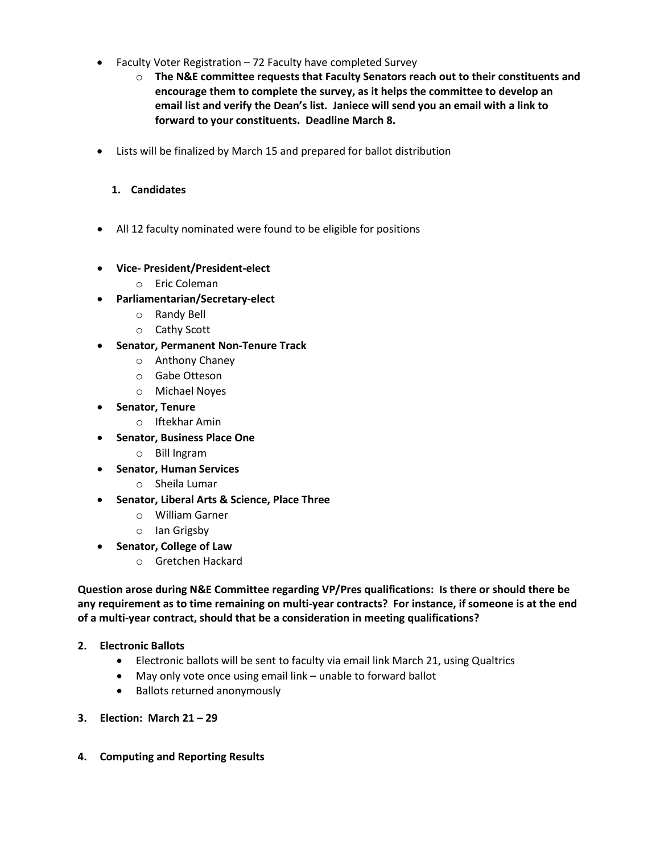- Faculty Voter Registration 72 Faculty have completed Survey
	- o **The N&E committee requests that Faculty Senators reach out to their constituents and encourage them to complete the survey, as it helps the committee to develop an email list and verify the Dean's list. Janiece will send you an email with a link to forward to your constituents. Deadline March 8.**
- Lists will be finalized by March 15 and prepared for ballot distribution

### **1. Candidates**

- All 12 faculty nominated were found to be eligible for positions
- **Vice- President/President-elect**
	- o Eric Coleman
- **Parliamentarian/Secretary-elect** 
	- o Randy Bell
	- o Cathy Scott
- **Senator, Permanent Non-Tenure Track**
	- o Anthony Chaney
	- o Gabe Otteson
	- o Michael Noyes
- **Senator, Tenure**
	- o Iftekhar Amin
- **Senator, Business Place One**
	- o Bill Ingram
- **Senator, Human Services**
	- o Sheila Lumar
- **Senator, Liberal Arts & Science, Place Three**
	- o William Garner
	- o Ian Grigsby
- **Senator, College of Law**
	- o Gretchen Hackard

**Question arose during N&E Committee regarding VP/Pres qualifications: Is there or should there be any requirement as to time remaining on multi-year contracts? For instance, if someone is at the end of a multi-year contract, should that be a consideration in meeting qualifications?**

- **2. Electronic Ballots**
	- Electronic ballots will be sent to faculty via email link March 21, using Qualtrics
	- May only vote once using email link unable to forward ballot
	- Ballots returned anonymously
- **3. Election: March 21 – 29**
- **4. Computing and Reporting Results**